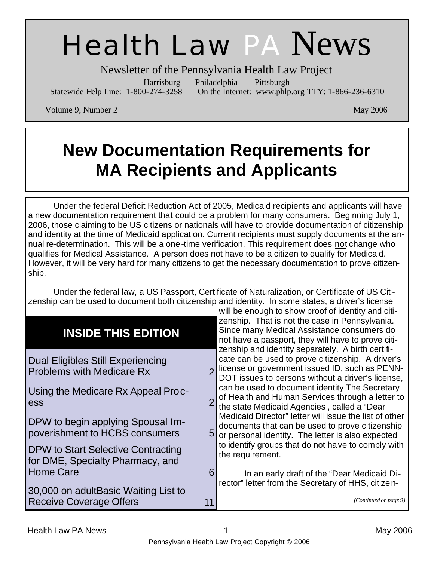# Health Law PA News

Newsletter of the Pennsylvania Health Law Project

Harrisburg Philadelphia Pittsburgh

Statewide Help Line: 1-800-274-3258 On the Internet: www.phlp.org TTY: 1-866-236-6310

Volume 9, Number 2 May 2006

# **New Documentation Requirements for MA Recipients and Applicants**

Under the federal Deficit Reduction Act of 2005, Medicaid recipients and applicants will have a new documentation requirement that could be a problem for many consumers. Beginning July 1, 2006, those claiming to be US citizens or nationals will have to provide documentation of citizenship and identity at the time of Medicaid application. Current recipients must supply documents at the annual re-determination. This will be a one-time verification. This requirement does not change who qualifies for Medical Assistance. A person does not have to be a citizen to qualify for Medicaid. However, it will be very hard for many citizens to get the necessary documentation to prove citizenship.

Under the federal law, a US Passport, Certificate of Naturalization, or Certificate of US Citizenship can be used to document both citizenship and identity. In some states, a driver's license will be enough to show proof of identity and citi-

| <b>INSIDE THIS EDITION</b>                                                    | will be chought to show proof or luchtity and old<br>zenship. That is not the case in Pennsylvania.<br>Since many Medical Assistance consumers do<br>not have a passport, they will have to prove citi-                         |
|-------------------------------------------------------------------------------|---------------------------------------------------------------------------------------------------------------------------------------------------------------------------------------------------------------------------------|
| <b>Dual Eligibles Still Experiencing</b><br><b>Problems with Medicare Rx</b>  | zenship and identity separately. A birth certifi-<br>cate can be used to prove citizenship. A driver's<br>license or government issued ID, such as PENN-<br>$\overline{2}$<br>DOT issues to persons without a driver's license, |
| Using the Medicare Rx Appeal Proc-<br>ess                                     | can be used to document identity The Secretary<br>of Health and Human Services through a letter to<br>the state Medicaid Agencies, called a "Dear                                                                               |
| DPW to begin applying Spousal Im-<br>poverishment to HCBS consumers           | Medicaid Director" letter will issue the list of other<br>documents that can be used to prove citizenship<br>5 <sub>l</sub><br>or personal identity. The letter is also expected                                                |
| <b>DPW to Start Selective Contracting</b><br>for DME, Specialty Pharmacy, and | to identify groups that do not have to comply with<br>the requirement.                                                                                                                                                          |
| <b>Home Care</b>                                                              | 6<br>In an early draft of the "Dear Medicaid Di-                                                                                                                                                                                |
| 30,000 on adultBasic Waiting List to                                          | rector" letter from the Secretary of HHS, citize n-                                                                                                                                                                             |
| <b>Receive Coverage Offers</b>                                                | (Continued on page 9)                                                                                                                                                                                                           |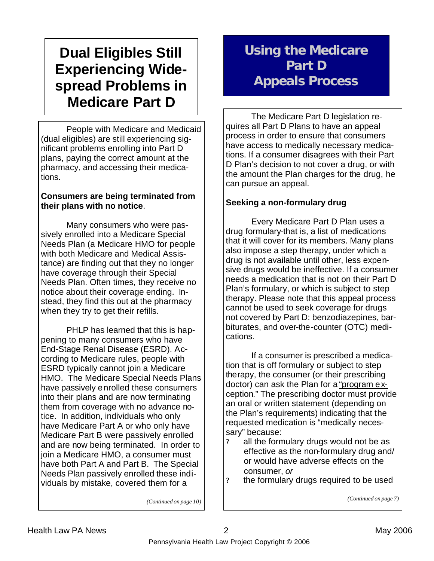# **Dual Eligibles Still Experiencing Widespread Problems in Medicare Part D**

 People with Medicare and Medicaid (dual eligibles) are still experiencing significant problems enrolling into Part D plans, paying the correct amount at the pharmacy, and accessing their medications.

#### **Consumers are being terminated from their plans with no notice**.

 Many consumers who were passively enrolled into a Medicare Special Needs Plan (a Medicare HMO for people with both Medicare and Medical Assistance) are finding out that they no longer have coverage through their Special Needs Plan. Often times, they receive no notice about their coverage ending. Instead, they find this out at the pharmacy when they try to get their refills.

 PHLP has learned that this is happening to many consumers who have End-Stage Renal Disease (ESRD). According to Medicare rules, people with ESRD typically cannot join a Medicare HMO. The Medicare Special Needs Plans have passively enrolled these consumers into their plans and are now terminating them from coverage with no advance notice. In addition, individuals who only have Medicare Part A or who only have Medicare Part B were passively enrolled and are now being terminated. In order to join a Medicare HMO, a consumer must have both Part A and Part B. The Special Needs Plan passively enrolled these individuals by mistake, covered them for a

# **Using the Medicare Part D Appeals Process**

 The Medicare Part D legislation requires all Part D Plans to have an appeal process in order to ensure that consumers have access to medically necessary medications. If a consumer disagrees with their Part D Plan's decision to not cover a drug, or with the amount the Plan charges for the drug, he can pursue an appeal.

#### **Seeking a non-formulary drug**

 Every Medicare Part D Plan uses a drug formulary-that is, a list of medications that it will cover for its members. Many plans also impose a step therapy, under which a drug is not available until other, less expensive drugs would be ineffective. If a consumer needs a medication that is not on their Part D Plan's formulary, or which is subject to step therapy. Please note that this appeal process cannot be used to seek coverage for drugs not covered by Part D: benzodiazepines, barbiturates, and over-the-counter (OTC) medications.

 If a consumer is prescribed a medication that is off formulary or subject to step therapy, the consumer (or their prescribing doctor) can ask the Plan for a "program exception." The prescribing doctor must provide an oral or written statement (depending on the Plan's requirements) indicating that the requested medication is "medically necessary" because:

- ? all the formulary drugs would not be as effective as the non-formulary drug and/ or would have adverse effects on the consumer, *or*
- ? the formulary drugs required to be used

*(Continued on page 7)*

*(Continued on page 10)*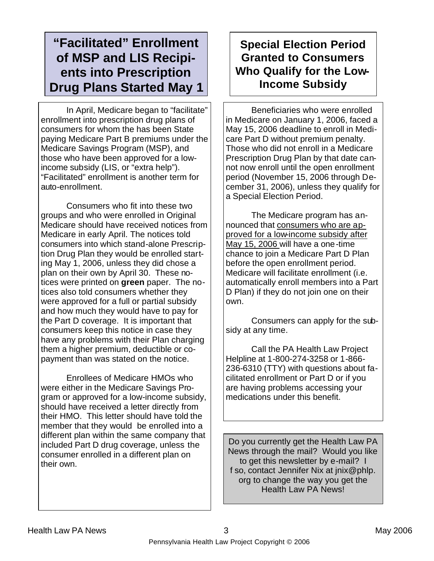### **"Facilitated" Enrollment of MSP and LIS Recipients into Prescription Drug Plans Started May 1**

 In April, Medicare began to "facilitate" enrollment into prescription drug plans of consumers for whom the has been State paying Medicare Part B premiums under the Medicare Savings Program (MSP), and those who have been approved for a lowincome subsidy (LIS, or "extra help"). "Facilitated" enrollment is another term for auto-enrollment.

 Consumers who fit into these two groups and who were enrolled in Original Medicare should have received notices from Medicare in early April. The notices told consumers into which stand-alone Prescription Drug Plan they would be enrolled starting May 1, 2006, unless they did chose a plan on their own by April 30. These notices were printed on **green** paper. The notices also told consumers whether they were approved for a full or partial subsidy and how much they would have to pay for the Part D coverage. It is important that consumers keep this notice in case they have any problems with their Plan charging them a higher premium, deductible or copayment than was stated on the notice.

 Enrollees of Medicare HMOs who were either in the Medicare Savings Program or approved for a low-income subsidy, should have received a letter directly from their HMO. This letter should have told the member that they would be enrolled into a different plan within the same company that included Part D drug coverage, unless the consumer enrolled in a different plan on their own.

### **Special Election Period Granted to Consumers Who Qualify for the Low-Income Subsidy**

 Beneficiaries who were enrolled in Medicare on January 1, 2006, faced a May 15, 2006 deadline to enroll in Medicare Part D without premium penalty. Those who did not enroll in a Medicare Prescription Drug Plan by that date cannot now enroll until the open enrollment period (November 15, 2006 through December 31, 2006), unless they qualify for a Special Election Period.

 The Medicare program has announced that consumers who are approved for a low-income subsidy after May 15, 2006 will have a one-time chance to join a Medicare Part D Plan before the open enrollment period. Medicare will facilitate enrollment (i.e. automatically enroll members into a Part D Plan) if they do not join one on their own.

 Consumers can apply for the subsidy at any time.

 Call the PA Health Law Project Helpline at 1-800-274-3258 or 1-866- 236-6310 (TTY) with questions about facilitated enrollment or Part D or if you are having problems accessing your medications under this benefit.

Do you currently get the Health Law PA News through the mail? Would you like to get this newsletter by e-mail? I f so, contact Jennifer Nix at jnix@phlp. org to change the way you get the Health Law PA News!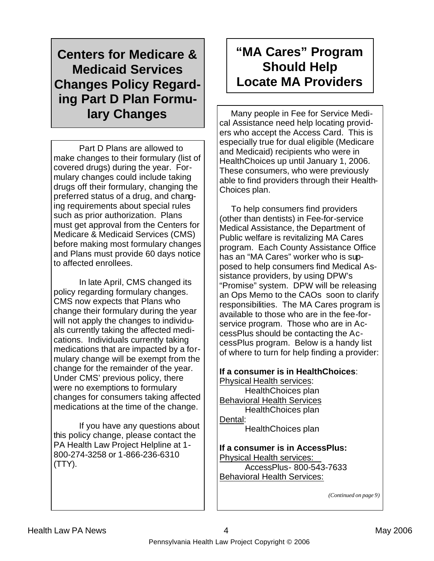# **Centers for Medicare & Medicaid Services Changes Policy Regarding Part D Plan Formu-**

 Part D Plans are allowed to make changes to their formulary (list of covered drugs) during the year. Formulary changes could include taking drugs off their formulary, changing the preferred status of a drug, and changing requirements about special rules such as prior authorization. Plans must get approval from the Centers for Medicare & Medicaid Services (CMS) before making most formulary changes and Plans must provide 60 days notice to affected enrollees.

 In late April, CMS changed its policy regarding formulary changes. CMS now expects that Plans who change their formulary during the year will not apply the changes to individuals currently taking the affected medications. Individuals currently taking medications that are impacted by a formulary change will be exempt from the change for the remainder of the year. Under CMS' previous policy, there were no exemptions to formulary changes for consumers taking affected medications at the time of the change.

 If you have any questions about this policy change, please contact the PA Health Law Project Helpline at 1- 800-274-3258 or 1-866-236-6310 (TTY).

## **"MA Cares" Program Should Help Locate MA Providers**

**lary Changes**  $\vert \vert$  Many people in Fee for Service Medical Assistance need help locating providers who accept the Access Card. This is especially true for dual eligible (Medicare and Medicaid) recipients who were in HealthChoices up until January 1, 2006. These consumers, who were previously able to find providers through their Health-Choices plan.

> To help consumers find providers (other than dentists) in Fee-for-service Medical Assistance, the Department of Public welfare is revitalizing MA Cares program. Each County Assistance Office has an "MA Cares" worker who is supposed to help consumers find Medical Assistance providers, by using DPW's "Promise" system. DPW will be releasing an Ops Memo to the CAOs soon to clarify responsibilities. The MA Cares program is available to those who are in the fee-forservice program. Those who are in AccessPlus should be contacting the AccessPlus program. Below is a handy list of where to turn for help finding a provider:

**If a consumer is in HealthChoices**: Physical Health services: HealthChoices plan Behavioral Health Services HealthChoices plan Dental: HealthChoices plan

**If a consumer is in AccessPlus:** Physical Health services: AccessPlus- 800-543-7633 Behavioral Health Services:

*(Continued on page 9)*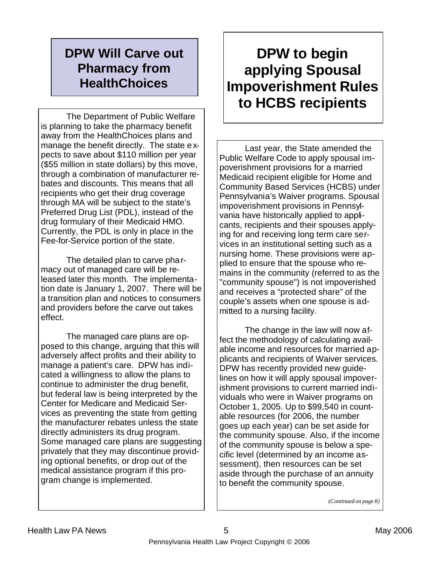### **DPW Will Carve out Pharmacy from HealthChoices**

 The Department of Public Welfare is planning to take the pharmacy benefit away from the HealthChoices plans and manage the benefit directly. The state expects to save about \$110 million per year (\$55 million in state dollars) by this move, through a combination of manufacturer rebates and discounts. This means that all recipients who get their drug coverage through MA will be subject to the state's Preferred Drug List (PDL), instead of the drug formulary of their Medicaid HMO. Currently, the PDL is only in place in the Fee-for-Service portion of the state.

 The detailed plan to carve pharmacy out of managed care will be released later this month. The implementation date is January 1, 2007. There will be a transition plan and notices to consumers and providers before the carve out takes effect.

 The managed care plans are opposed to this change, arguing that this will adversely affect profits and their ability to manage a patient's care. DPW has indicated a willingness to allow the plans to continue to administer the drug benefit, but federal law is being interpreted by the Center for Medicare and Medicaid Services as preventing the state from getting the manufacturer rebates unless the state directly administers its drug program. Some managed care plans are suggesting privately that they may discontinue providing optional benefits, or drop out of the medical assistance program if this program change is implemented.

# **DPW to begin applying Spousal Impoverishment Rules to HCBS recipients**

 Last year, the State amended the Public Welfare Code to apply spousal impoverishment provisions for a married Medicaid recipient eligible for Home and Community Based Services (HCBS) under Pennsylvania's Waiver programs. Spousal impoverishment provisions in Pennsylvania have historically applied to applicants, recipients and their spouses applying for and receiving long term care services in an institutional setting such as a nursing home. These provisions were applied to ensure that the spouse who remains in the community (referred to as the "community spouse") is not impoverished and receives a "protected share" of the couple's assets when one spouse is admitted to a nursing facility.

 The change in the law will now affect the methodology of calculating available income and resources for married applicants and recipients of Waiver services. DPW has recently provided new guidelines on how it will apply spousal impoverishment provisions to current married individuals who were in Waiver programs on October 1, 2005. Up to \$99,540 in countable resources (for 2006, the number goes up each year) can be set aside for the community spouse. Also, if the income of the community spouse is below a specific level (determined by an income assessment), then resources can be set aside through the purchase of an annuity to benefit the community spouse.

*(Continued on page 8)*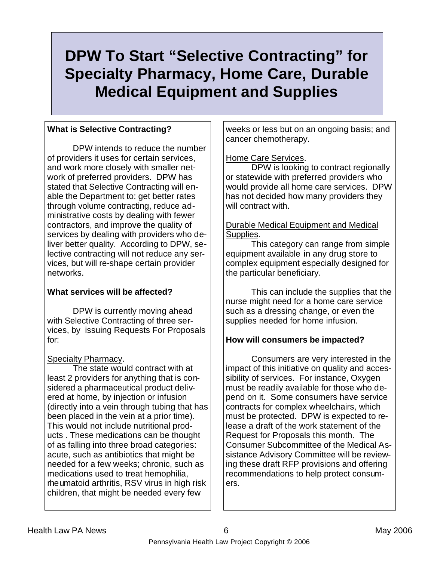# **DPW To Start "Selective Contracting" for Specialty Pharmacy, Home Care, Durable Medical Equipment and Supplies**

#### **What is Selective Contracting?**

 DPW intends to reduce the number of providers it uses for certain services, and work more closely with smaller network of preferred providers. DPW has stated that Selective Contracting will enable the Department to: get better rates through volume contracting, reduce administrative costs by dealing with fewer contractors, and improve the quality of services by dealing with providers who deliver better quality. According to DPW, selective contracting will not reduce any services, but will re-shape certain provider networks.

#### **What services will be affected?**

 DPW is currently moving ahead with Selective Contracting of three services, by issuing Requests For Proposals for:

#### Specialty Pharmacy.

 The state would contract with at least 2 providers for anything that is considered a pharmaceutical product delivered at home, by injection or infusion (directly into a vein through tubing that has been placed in the vein at a prior time). This would not include nutritional products . These medications can be thought of as falling into three broad categories: acute, such as antibiotics that might be needed for a few weeks; chronic, such as medications used to treat hemophilia, rheumatoid arthritis, RSV virus in high risk children, that might be needed every few

weeks or less but on an ongoing basis; and cancer chemotherapy.

#### Home Care Services.

 DPW is looking to contract regionally or statewide with preferred providers who would provide all home care services. DPW has not decided how many providers they will contract with.

#### Durable Medical Equipment and Medical Supplies.

 This category can range from simple equipment available in any drug store to complex equipment especially designed for the particular beneficiary.

 This can include the supplies that the nurse might need for a home care service such as a dressing change, or even the supplies needed for home infusion.

#### **How will consumers be impacted?**

 Consumers are very interested in the impact of this initiative on quality and accessibility of services. For instance, Oxygen must be readily available for those who depend on it. Some consumers have service contracts for complex wheelchairs, which must be protected. DPW is expected to release a draft of the work statement of the Request for Proposals this month. The Consumer Subcommittee of the Medical Assistance Advisory Committee will be reviewing these draft RFP provisions and offering recommendations to help protect consumers.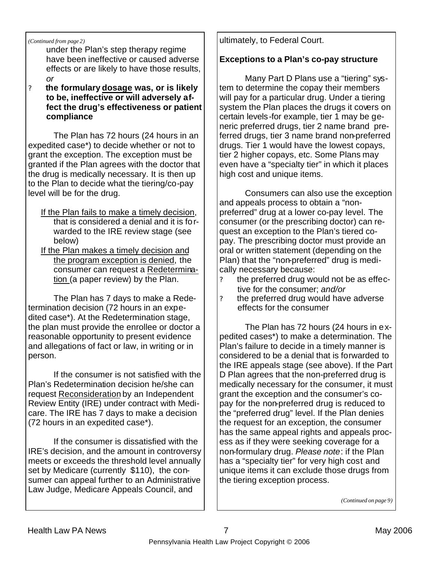*(Continued from page 2)*

under the Plan's step therapy regime have been ineffective or caused adverse effects or are likely to have those results, *or*

? **the formulary dosage was, or is likely to be, ineffective or will adversely affect the drug's effectiveness or patient compliance**

 The Plan has 72 hours (24 hours in an expedited case\*) to decide whether or not to grant the exception. The exception must be granted if the Plan agrees with the doctor that the drug is medically necessary. It is then up to the Plan to decide what the tiering/co-pay level will be for the drug.

- If the Plan fails to make a timely decision, that is considered a denial and it is forwarded to the IRE review stage (see below)
- If the Plan makes a timely decision and the program exception is denied, the consumer can request a Redetermination (a paper review) by the Plan.

 The Plan has 7 days to make a Redetermination decision (72 hours in an expedited case\*). At the Redetermination stage, the plan must provide the enrollee or doctor a reasonable opportunity to present evidence and allegations of fact or law, in writing or in person.

 If the consumer is not satisfied with the Plan's Redetermination decision he/she can request Reconsideration by an Independent Review Entity (IRE) under contract with Medicare. The IRE has 7 days to make a decision (72 hours in an expedited case\*).

 If the consumer is dissatisfied with the IRE's decision, and the amount in controversy meets or exceeds the threshold level annually set by Medicare (currently \$110), the consumer can appeal further to an Administrative Law Judge, Medicare Appeals Council, and

ultimately, to Federal Court.

#### **Exceptions to a Plan's co-pay structure**

 Many Part D Plans use a "tiering" system to determine the copay their members will pay for a particular drug. Under a tiering system the Plan places the drugs it covers on certain levels-for example, tier 1 may be generic preferred drugs, tier 2 name brand preferred drugs, tier 3 name brand non-preferred drugs. Tier 1 would have the lowest copays, tier 2 higher copays, etc. Some Plans may even have a "specialty tier" in which it places high cost and unique items.

 Consumers can also use the exception and appeals process to obtain a "nonpreferred" drug at a lower co-pay level. The consumer (or the prescribing doctor) can request an exception to the Plan's tiered copay. The prescribing doctor must provide an oral or written statement (depending on the Plan) that the "non-preferred" drug is medically necessary because:

- ? the preferred drug would not be as effective for the consumer; *and/or*
- ? the preferred drug would have adverse effects for the consumer

 The Plan has 72 hours (24 hours in expedited cases\*) to make a determination. The Plan's failure to decide in a timely manner is considered to be a denial that is forwarded to the IRE appeals stage (see above). If the Part D Plan agrees that the non-preferred drug is medically necessary for the consumer, it must grant the exception and the consumer's copay for the non-preferred drug is reduced to the "preferred drug" level. If the Plan denies the request for an exception, the consumer has the same appeal rights and appeals process as if they were seeking coverage for a non-formulary drug. *Please note*: if the Plan has a "specialty tier" for very high cost and unique items it can exclude those drugs from the tiering exception process.

*(Continued on page 9)*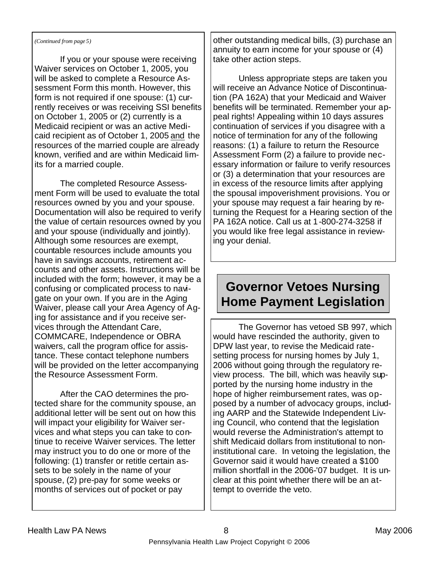#### *(Continued from page 5)*

 If you or your spouse were receiving Waiver services on October 1, 2005, you will be asked to complete a Resource Assessment Form this month. However, this form is not required if one spouse: (1) currently receives or was receiving SSI benefits on October 1, 2005 or (2) currently is a Medicaid recipient or was an active Medicaid recipient as of October 1, 2005 and the resources of the married couple are already known, verified and are within Medicaid limits for a married couple.

 The completed Resource Assessment Form will be used to evaluate the total resources owned by you and your spouse. Documentation will also be required to verify the value of certain resources owned by you and your spouse (individually and jointly). Although some resources are exempt, countable resources include amounts you have in savings accounts, retirement accounts and other assets. Instructions will be included with the form; however, it may be a confusing or complicated process to navigate on your own. If you are in the Aging Waiver, please call your Area Agency of Aging for assistance and if you receive services through the Attendant Care, COMMCARE, Independence or OBRA waivers, call the program office for assistance. These contact telephone numbers will be provided on the letter accompanying the Resource Assessment Form.

 After the CAO determines the protected share for the community spouse, an additional letter will be sent out on how this will impact your eligibility for Waiver services and what steps you can take to continue to receive Waiver services. The letter may instruct you to do one or more of the following: (1) transfer or retitle certain assets to be solely in the name of your spouse, (2) pre-pay for some weeks or months of services out of pocket or pay

other outstanding medical bills, (3) purchase an annuity to earn income for your spouse or (4) take other action steps.

 Unless appropriate steps are taken you will receive an Advance Notice of Discontinuation (PA 162A) that your Medicaid and Waiver benefits will be terminated. Remember your appeal rights! Appealing within 10 days assures continuation of services if you disagree with a notice of termination for any of the following reasons: (1) a failure to return the Resource Assessment Form (2) a failure to provide necessary information or failure to verify resources or (3) a determination that your resources are in excess of the resource limits after applying the spousal impoverishment provisions. You or your spouse may request a fair hearing by returning the Request for a Hearing section of the PA 162A notice. Call us at 1-800-274-3258 if you would like free legal assistance in reviewing your denial.

### **Governor Vetoes Nursing Home Payment Legislation**

 The Governor has vetoed SB 997, which would have rescinded the authority, given to DPW last year, to revise the Medicaid ratesetting process for nursing homes by July 1, 2006 without going through the regulatory review process. The bill, which was heavily supported by the nursing home industry in the hope of higher reimbursement rates, was opposed by a number of advocacy groups, including AARP and the Statewide Independent Living Council, who contend that the legislation would reverse the Administration's attempt to shift Medicaid dollars from institutional to noninstitutional care. In vetoing the legislation, the Governor said it would have created a \$100 million shortfall in the 2006-'07 budget. It is unclear at this point whether there will be an attempt to override the veto.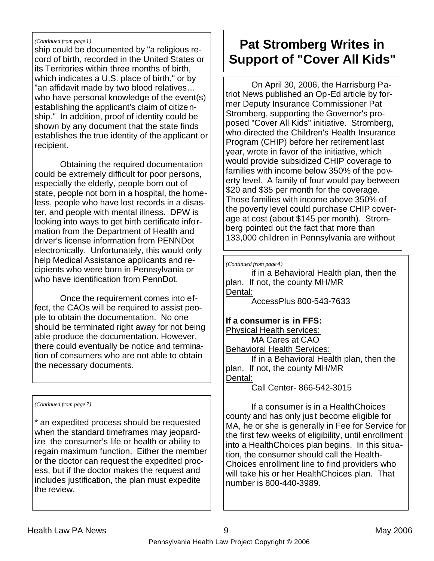#### *(Continued from page 1)*

ship could be documented by "a religious record of birth, recorded in the United States or its Territories within three months of birth, which indicates a U.S. place of birth," or by "an affidavit made by two blood relatives… who have personal knowledge of the event(s) establishing the applicant's claim of citizenship." In addition, proof of identity could be shown by any document that the state finds establishes the true identity of the applicant or recipient.

Obtaining the required documentation could be extremely difficult for poor persons, especially the elderly, people born out of state, people not born in a hospital, the homeless, people who have lost records in a disaster, and people with mental illness. DPW is looking into ways to get birth certificate information from the Department of Health and driver's license information from PENNDot electronically. Unfortunately, this would only help Medical Assistance applicants and recipients who were born in Pennsylvania or who have identification from PennDot.

Once the requirement comes into effect, the CAOs will be required to assist people to obtain the documentation. No one should be terminated right away for not being able produce the documentation. However, there could eventually be notice and termination of consumers who are not able to obtain the necessary documents.

*(Continued from page 7)*

\* an expedited process should be requested when the standard timeframes may jeopardize the consumer's life or health or ability to regain maximum function. Either the member or the doctor can request the expedited process, but if the doctor makes the request and includes justification, the plan must expedite the review.

# **Pat Stromberg Writes in Support of "Cover All Kids"**

 On April 30, 2006, the Harrisburg Patriot News published an Op-Ed article by former Deputy Insurance Commissioner Pat Stromberg, supporting the Governor's proposed "Cover All Kids" initiative. Stromberg, who directed the Children's Health Insurance Program (CHIP) before her retirement last year, wrote in favor of the initiative, which would provide subsidized CHIP coverage to families with income below 350% of the poverty level. A family of four would pay between \$20 and \$35 per month for the coverage. Those families with income above 350% of the poverty level could purchase CHIP coverage at cost (about \$145 per month). Stromberg pointed out the fact that more than 133,000 children in Pennsylvania are without

*(Continued from page 4)*

 if in a Behavioral Health plan, then the plan. If not, the county MH/MR Dental:

AccessPlus 800-543-7633

#### **If a consumer is in FFS:**

Physical Health services: MA Cares at CAO Behavioral Health Services: If in a Behavioral Health plan, then the plan. If not, the county MH/MR

Dental:

Call Center- 866-542-3015

 If a consumer is in a HealthChoices county and has only just become eligible for MA, he or she is generally in Fee for Service for the first few weeks of eligibility, until enrollment into a HealthChoices plan begins. In this situation, the consumer should call the Health-Choices enrollment line to find providers who will take his or her HealthChoices plan. That number is 800-440-3989.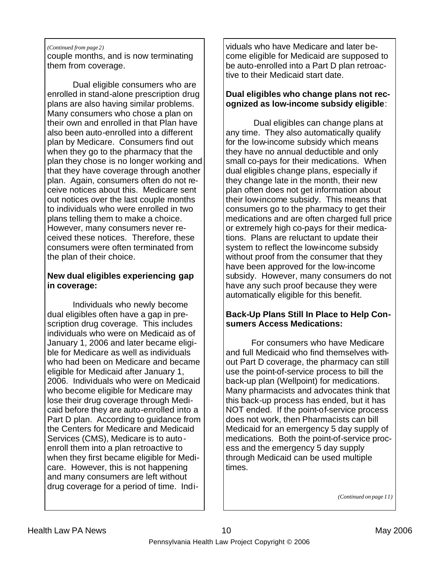#### *(Continued from page 2)*

couple months, and is now terminating them from coverage.

 Dual eligible consumers who are enrolled in stand-alone prescription drug plans are also having similar problems. Many consumers who chose a plan on their own and enrolled in that Plan have also been auto-enrolled into a different plan by Medicare. Consumers find out when they go to the pharmacy that the plan they chose is no longer working and that they have coverage through another plan. Again, consumers often do not receive notices about this. Medicare sent out notices over the last couple months to individuals who were enrolled in two plans telling them to make a choice. However, many consumers never received these notices. Therefore, these consumers were often terminated from the plan of their choice.

#### **New dual eligibles experiencing gap in coverage:**

Individuals who newly become dual eligibles often have a gap in prescription drug coverage. This includes individuals who were on Medicaid as of January 1, 2006 and later became eligible for Medicare as well as individuals who had been on Medicare and became eligible for Medicaid after January 1, 2006. Individuals who were on Medicaid who become eligible for Medicare may lose their drug coverage through Medicaid before they are auto-enrolled into a Part D plan. According to guidance from the Centers for Medicare and Medicaid Services (CMS), Medicare is to autoenroll them into a plan retroactive to when they first became eligible for Medicare. However, this is not happening and many consumers are left without drug coverage for a period of time. Individuals who have Medicare and later become eligible for Medicaid are supposed to be auto-enrolled into a Part D plan retroactive to their Medicaid start date.

#### **Dual eligibles who change plans not recognized as low-income subsidy eligible**:

 Dual eligibles can change plans at any time. They also automatically qualify for the low-income subsidy which means they have no annual deductible and only small co-pays for their medications. When dual eligibles change plans, especially if they change late in the month, their new plan often does not get information about their low-income subsidy. This means that consumers go to the pharmacy to get their medications and are often charged full price or extremely high co-pays for their medications. Plans are reluctant to update their system to reflect the low-income subsidy without proof from the consumer that they have been approved for the low-income subsidy. However, many consumers do not have any such proof because they were automatically eligible for this benefit.

#### **Back-Up Plans Still In Place to Help Consumers Access Medications:**

 For consumers who have Medicare and full Medicaid who find themselves without Part D coverage, the pharmacy can still use the point-of-service process to bill the back-up plan (Wellpoint) for medications. Many pharmacists and advocates think that this back-up process has ended, but it has NOT ended. If the point-of-service process does not work, then Pharmacists can bill Medicaid for an emergency 5 day supply of medications. Both the point-of-service process and the emergency 5 day supply through Medicaid can be used multiple times.

*(Continued on page 11)*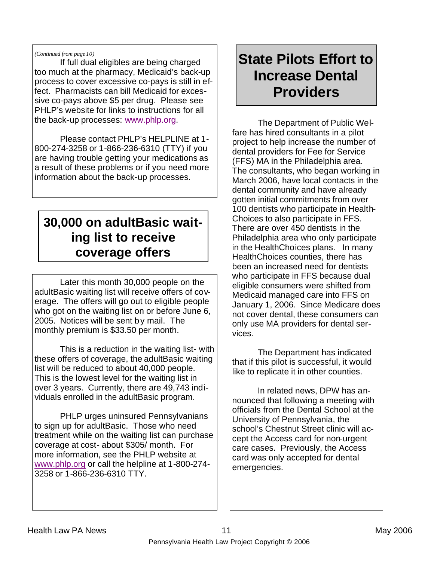#### *(Continued from page 10)*

 If full dual eligibles are being charged too much at the pharmacy, Medicaid's back-up process to cover excessive co-pays is still in effect. Pharmacists can bill Medicaid for excessive co-pays above \$5 per drug. Please see PHLP's website for links to instructions for all the back-up processes: www.phlp.org.

 Please contact PHLP's HELPLINE at 1- 800-274-3258 or 1-866-236-6310 (TTY) if you are having trouble getting your medications as a result of these problems or if you need more information about the back-up processes.

### **30,000 on adultBasic waiting list to receive coverage offers**

 Later this month 30,000 people on the adultBasic waiting list will receive offers of coverage. The offers will go out to eligible people who got on the waiting list on or before June 6, 2005. Notices will be sent by mail. The monthly premium is \$33.50 per month.

 This is a reduction in the waiting list- with these offers of coverage, the adultBasic waiting list will be reduced to about 40,000 people. This is the lowest level for the waiting list in over 3 years. Currently, there are 49,743 individuals enrolled in the adultBasic program.

 PHLP urges uninsured Pennsylvanians to sign up for adultBasic. Those who need treatment while on the waiting list can purchase coverage at cost- about \$305/ month. For more information, see the PHLP website at www.phlp.org or call the helpline at 1-800-274- 3258 or 1-866-236-6310 TTY.

# **State Pilots Effort to Increase Dental Providers**

 The Department of Public Welfare has hired consultants in a pilot project to help increase the number of dental providers for Fee for Service (FFS) MA in the Philadelphia area. The consultants, who began working in March 2006, have local contacts in the dental community and have already gotten initial commitments from over 100 dentists who participate in Health-Choices to also participate in FFS. There are over 450 dentists in the Philadelphia area who only participate in the HealthChoices plans. In many HealthChoices counties, there has been an increased need for dentists who participate in FFS because dual eligible consumers were shifted from Medicaid managed care into FFS on January 1, 2006. Since Medicare does not cover dental, these consumers can only use MA providers for dental services.

 The Department has indicated that if this pilot is successful, it would like to replicate it in other counties.

 In related news, DPW has announced that following a meeting with officials from the Dental School at the University of Pennsylvania, the school's Chestnut Street clinic will accept the Access card for non-urgent care cases. Previously, the Access card was only accepted for dental emergencies.